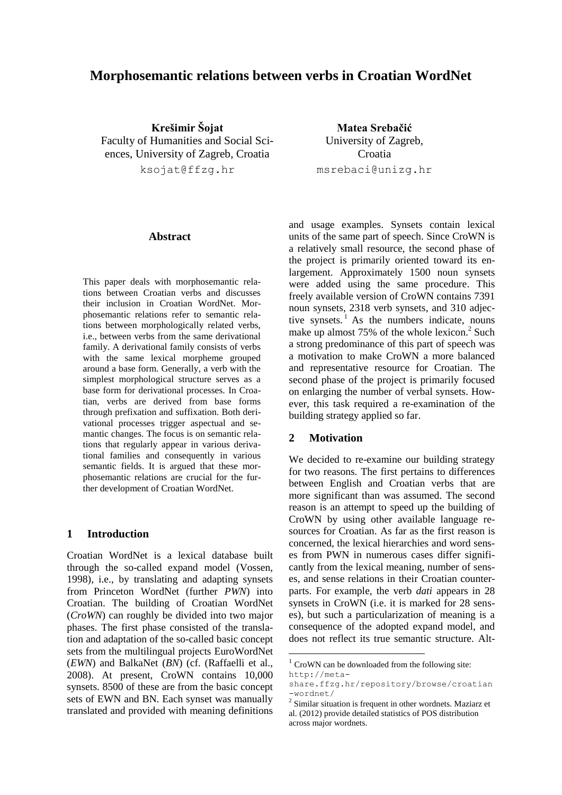# **Morphosemantic relations between verbs in Croatian WordNet**

**Krešimir Šojat** Faculty of Humanities and Social Sciences, University of Zagreb, Croatia ksojat@ffzg.hr

**Matea Srebačić** University of Zagreb, Croatia msrebaci@unizg.hr

#### **Abstract**

This paper deals with morphosemantic relations between Croatian verbs and discusses their inclusion in Croatian WordNet. Morphosemantic relations refer to semantic relations between morphologically related verbs, i.e., between verbs from the same derivational family. A derivational family consists of verbs with the same lexical morpheme grouped around a base form. Generally, a verb with the simplest morphological structure serves as a base form for derivational processes. In Croatian, verbs are derived from base forms through prefixation and suffixation. Both derivational processes trigger aspectual and semantic changes. The focus is on semantic relations that regularly appear in various derivational families and consequently in various semantic fields. It is argued that these morphosemantic relations are crucial for the further development of Croatian WordNet.

### **1 Introduction**

Croatian WordNet is a lexical database built through the so-called expand model (Vossen, 1998), i.e., by translating and adapting synsets from Princeton WordNet (further *PWN*) into Croatian. The building of Croatian WordNet (*CroWN*) can roughly be divided into two major phases. The first phase consisted of the translation and adaptation of the so-called basic concept sets from the multilingual projects EuroWordNet (*EWN*) and BalkaNet (*BN*) (cf. (Raffaelli et al., 2008). At present, CroWN contains 10,000 synsets. 8500 of these are from the basic concept sets of EWN and BN. Each synset was manually translated and provided with meaning definitions

and usage examples. Synsets contain lexical units of the same part of speech. Since CroWN is a relatively small resource, the second phase of the project is primarily oriented toward its enlargement. Approximately 1500 noun synsets were added using the same procedure. This freely available version of CroWN contains 7391 noun synsets, 2318 verb synsets, and 310 adjective synsets. $<sup>1</sup>$  As the numbers indicate, nouns</sup> make up almost 75% of the whole lexicon.<sup>2</sup> Such a strong predominance of this part of speech was a motivation to make CroWN a more balanced and representative resource for Croatian. The second phase of the project is primarily focused on enlarging the number of verbal synsets. However, this task required a re-examination of the building strategy applied so far.

### **2 Motivation**

We decided to re-examine our building strategy for two reasons. The first pertains to differences between English and Croatian verbs that are more significant than was assumed. The second reason is an attempt to speed up the building of CroWN by using other available language resources for Croatian. As far as the first reason is concerned, the lexical hierarchies and word senses from PWN in numerous cases differ significantly from the lexical meaning, number of senses, and sense relations in their Croatian counterparts. For example, the verb *dati* appears in 28 synsets in CroWN (i.e. it is marked for 28 senses), but such a particularization of meaning is a consequence of the adopted expand model, and does not reflect its true semantic structure. Alt-

 $1$  CroWN can be downloaded from the following site: [http://meta-](http://meta-share.ffzg.hr/repository/browse/croatian-wordnet/)

[share.ffzg.hr/repository/browse/croatian](http://meta-share.ffzg.hr/repository/browse/croatian-wordnet/) [-wordnet/](http://meta-share.ffzg.hr/repository/browse/croatian-wordnet/)

<sup>&</sup>lt;sup>2</sup> Similar situation is frequent in other wordnets. Maziarz et al. (2012) provide detailed statistics of POS distribution across major wordnets.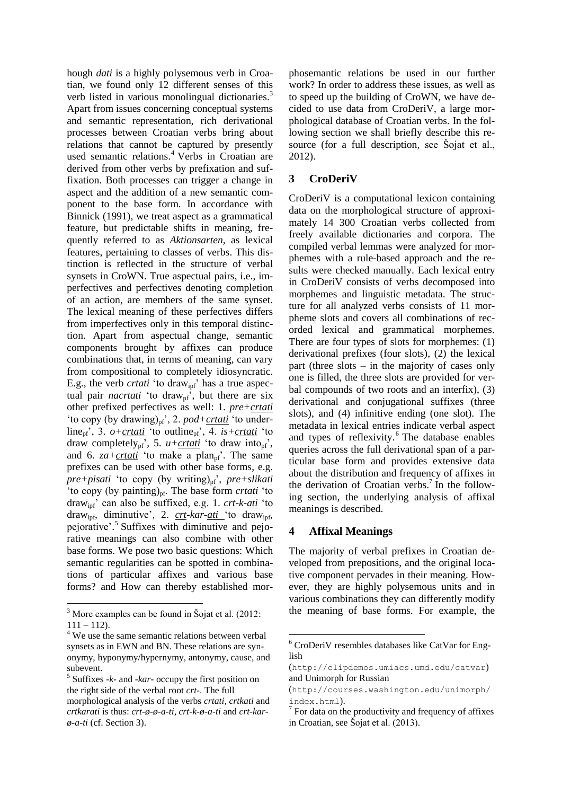hough *dati* is a highly polysemous verb in Croatian, we found only 12 different senses of this verb listed in various monolingual dictionaries.<sup>3</sup> Apart from issues concerning conceptual systems and semantic representation, rich derivational processes between Croatian verbs bring about relations that cannot be captured by presently used semantic relations. <sup>4</sup> Verbs in Croatian are derived from other verbs by prefixation and suffixation. Both processes can trigger a change in aspect and the addition of a new semantic component to the base form. In accordance with Binnick (1991), we treat aspect as a grammatical feature, but predictable shifts in meaning, frequently referred to as *Aktionsarten*, as lexical features, pertaining to classes of verbs. This distinction is reflected in the structure of verbal synsets in CroWN. True aspectual pairs, i.e., imperfectives and perfectives denoting completion of an action, are members of the same synset. The lexical meaning of these perfectives differs from imperfectives only in this temporal distinction. Apart from aspectual change, semantic components brought by affixes can produce combinations that, in terms of meaning, can vary from compositional to completely idiosyncratic. E.g., the verb *crtati* 'to draw<sub>ipf</sub>' has a true aspectual pair *nacrtati* 'to draw<sub>pf</sub>', but there are six other prefixed perfectives as well: 1. *pre+crtati* 'to copy (by drawing) $_{pf}$ ', 2.  $pod+*crtati*$ 'to underline<sub>pf</sub>', 3.  $o+crtati$ ' to outline<sub>pf</sub>', 4. *is*+ $crtati$ ' to</u> draw completely<sub>pf</sub>', 5.  $u+*crtati*$ ' to draw into<sub>pf</sub>', and 6.  $z^a + \frac{crt^a}{c}$  'to make a plan<sub>pf</sub>'. The same prefixes can be used with other base forms, e.g. *pre+pisati* 'to copy (by writing)<sub>pf</sub>', *pre+slikati* 'to copy (by painting)<sub>pf</sub>. The base form *crtati* 'to drawipf' can also be suffixed, e.g. 1. *crt-k-ati* 'to draw<sub>ipf</sub>, diminutive', 2. *crt-kar-ati* 'to draw<sub>ipf</sub>, pejorative'. 5 Suffixes with diminutive and pejorative meanings can also combine with other base forms. We pose two basic questions: Which semantic regularities can be spotted in combinations of particular affixes and various base forms? and How can thereby established mor-

phosemantic relations be used in our further work? In order to address these issues, as well as to speed up the building of CroWN, we have decided to use data from CroDeriV, a large morphological database of Croatian verbs. In the following section we shall briefly describe this resource (for a full description, see Šojat et al., 2012).

# **3 CroDeriV**

CroDeriV is a computational lexicon containing data on the morphological structure of approximately 14 300 Croatian verbs collected from freely available dictionaries and corpora. The compiled verbal lemmas were analyzed for morphemes with a rule-based approach and the results were checked manually. Each lexical entry in CroDeriV consists of verbs decomposed into morphemes and linguistic metadata. The structure for all analyzed verbs consists of 11 morpheme slots and covers all combinations of recorded lexical and grammatical morphemes. There are four types of slots for morphemes: (1) derivational prefixes (four slots), (2) the lexical part (three slots – in the majority of cases only one is filled, the three slots are provided for verbal compounds of two roots and an interfix), (3) derivational and conjugational suffixes (three slots), and (4) infinitive ending (one slot). The metadata in lexical entries indicate verbal aspect and types of reflexivity. <sup>6</sup> The database enables queries across the full derivational span of a particular base form and provides extensive data about the distribution and frequency of affixes in the derivation of Croatian verbs. 7 In the following section, the underlying analysis of affixal meanings is described.

### **4 Affixal Meanings**

The majority of verbal prefixes in Croatian developed from prepositions, and the original locative component pervades in their meaning. However, they are highly polysemous units and in various combinations they can differently modify the meaning of base forms. For example, the

<sup>3</sup> More examples can be found in Šojat et al. (2012:  $111 - 112$ ).

<sup>4</sup> We use the same semantic relations between verbal synsets as in EWN and BN. These relations are synonymy, hyponymy/hypernymy, antonymy, cause, and subevent.

<sup>5</sup> Suffixes *-k-* and *-kar-* occupy the first position on the right side of the verbal root *crt-*. The full morphological analysis of the verbs *crtati, crtkati* and *crtkarati* is thus: *crt-ø-ø-a-ti, crt-k-ø-a-ti* and *crt-karø-a-ti* (cf. Section 3).

<sup>6</sup> CroDeriV resembles databases like CatVar for English

<sup>(</sup><http://clipdemos.umiacs.umd.edu/catvar>) and Unimorph for Russian

<sup>(</sup>[http://courses.washington.edu/unimorph/](http://courses.washington.edu/unimorph/index.html) [index.html](http://courses.washington.edu/unimorph/index.html)).

 $7$  For data on the productivity and frequency of affixes in Croatian, see Šojat et al. (2013).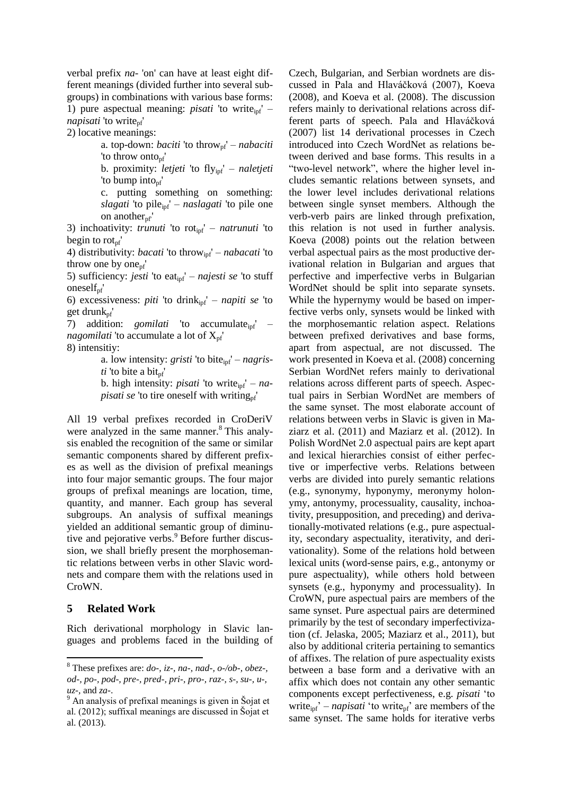verbal prefix *na-* 'on' can have at least eight different meanings (divided further into several subgroups) in combinations with various base forms: 1) pure aspectual meaning: *pisati* 'to write<sub>ipf</sub>' – *napisati* 'to write<sub>nf</sub>'

2) locative meanings:

a. top-down: *baciti* 'to throw<sub>pf</sub>' – *nabaciti* 'to throw onto<sub>pf</sub>'

b. proximity: *letjeti* 'to flyipf' – *naletjeti* 'to bump into<sub>pf</sub>'

c. putting something on something: *slagati* 'to pile<sub>ipf</sub>' – *naslagati* 'to pile one on another $_{\text{pf}}'$ 

3) inchoativity: *trunuti* 'to rot<sub>ipf</sub>' – *natrunuti* 'to begin to rot $_{\rm pf}'$ 

4) distributivity: *bacati* 'to throwipf' – *nabacati* 'to throw one by one<sub>pf</sub>'

5) sufficiency: *jesti* 'to eat<sub>ipf</sub>' – *najesti se* 'to stuff onesel $f_{\text{pf}}'$ 

6) excessiveness: *piti* 'to drinkipf' – *napiti se* 'to get drunk $_{\text{nf}}'$ 

7) addition: *gomilati* 'to accumulate<sub>ipf</sub>' – *nagomilati* 'to accumulate a lot of  $X_{\text{pf}}'$ 

8) intensitiy:

a. low intensity: *gristi* 'to bite<sub>ipf</sub>' – *nagris* $ti$  'to bite a bit<sub>pf</sub>'

b. high intensity: *pisati* 'to write<sub>ipf</sub>' – *napisati se* 'to tire oneself with writing<sub>pf</sub>'

All 19 verbal prefixes recorded in CroDeriV were analyzed in the same manner.<sup>8</sup> This analysis enabled the recognition of the same or similar semantic components shared by different prefixes as well as the division of prefixal meanings into four major semantic groups. The four major groups of prefixal meanings are location, time, quantity, and manner. Each group has several subgroups. An analysis of suffixal meanings yielded an additional semantic group of diminutive and pejorative verbs.<sup>9</sup> Before further discussion, we shall briefly present the morphosemantic relations between verbs in other Slavic wordnets and compare them with the relations used in CroWN.

#### **5 Related Work**

Rich derivational morphology in Slavic languages and problems faced in the building of Czech, Bulgarian, and Serbian wordnets are discussed in Pala and Hlaváčková (2007), Koeva (2008), and Koeva et al. (2008). The discussion refers mainly to derivational relations across different parts of speech. Pala and Hlaváčková (2007) list 14 derivational processes in Czech introduced into Czech WordNet as relations between derived and base forms. This results in a "two-level network", where the higher level includes semantic relations between synsets, and the lower level includes derivational relations between single synset members. Although the verb-verb pairs are linked through prefixation, this relation is not used in further analysis. Koeva (2008) points out the relation between verbal aspectual pairs as the most productive derivational relation in Bulgarian and argues that perfective and imperfective verbs in Bulgarian WordNet should be split into separate synsets. While the hypernymy would be based on imperfective verbs only, synsets would be linked with the morphosemantic relation aspect. Relations between prefixed derivatives and base forms, apart from aspectual, are not discussed. The work presented in Koeva et al. (2008) concerning Serbian WordNet refers mainly to derivational relations across different parts of speech. Aspectual pairs in Serbian WordNet are members of the same synset. The most elaborate account of relations between verbs in Slavic is given in Maziarz et al. (2011) and Maziarz et al. (2012). In Polish WordNet 2.0 aspectual pairs are kept apart and lexical hierarchies consist of either perfective or imperfective verbs. Relations between verbs are divided into purely semantic relations (e.g., synonymy, hyponymy, meronymy holonymy, antonymy, processuality, causality, inchoativity, presupposition, and preceding) and derivationally-motivated relations (e.g., pure aspectuality, secondary aspectuality, iterativity, and derivationality). Some of the relations hold between lexical units (word-sense pairs, e.g., antonymy or pure aspectuality), while others hold between synsets (e.g., hyponymy and processuality). In CroWN, pure aspectual pairs are members of the same synset. Pure aspectual pairs are determined primarily by the test of secondary imperfectivization (cf. Jelaska, 2005; Maziarz et al., 2011), but also by additional criteria pertaining to semantics of affixes. The relation of pure aspectuality exists between a base form and a derivative with an affix which does not contain any other semantic components except perfectiveness, e.g. *pisati* 'to write $_{\text{ipf}}'$  – *napisati* 'to write<sub>pf</sub>' are members of the same synset. The same holds for iterative verbs

 $8$  These prefixes are:  $do$ -,  $iz$ -,  $na$ -,  $nad$ -,  $o$ - $/ob$ -,  $obe$ z-, *od-, po-, pod-, pre-, pred-, pri-, pro-, raz-, s-, su-, u-, uz-,* and *za-*.

<sup>&</sup>lt;sup>9</sup> An analysis of prefixal meanings is given in Šojat et al. (2012); suffixal meanings are discussed in Šojat et al. (2013).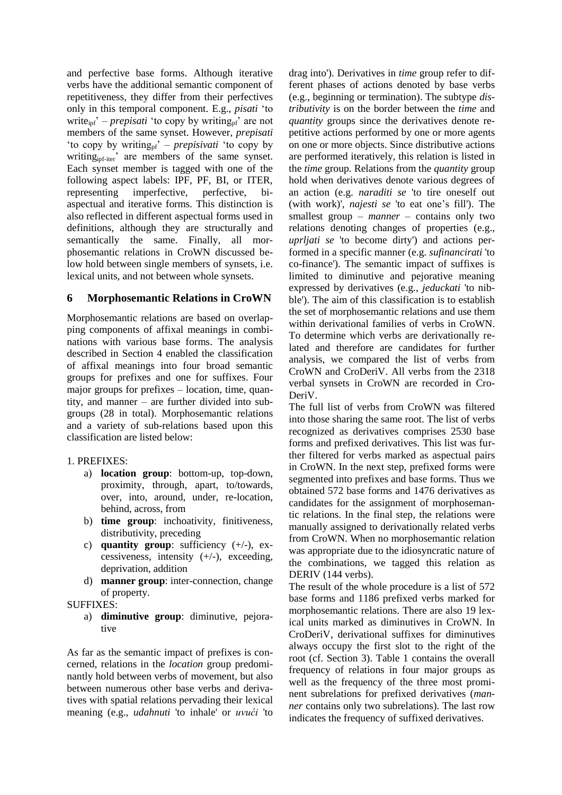and perfective base forms. Although iterative verbs have the additional semantic component of repetitiveness, they differ from their perfectives only in this temporal component. E.g., *pisati* 'to write<sub>ipf</sub>' – *prepisati* 'to copy by writing<sub>pf</sub>' are not members of the same synset. However, *prepisati*  'to copy by writing<sub>pf</sub>' – *prepisivati* 'to copy by writing<sub>ipf-iter</sub>' are members of the same synset. Each synset member is tagged with one of the following aspect labels: IPF, PF, BI, or ITER, representing imperfective, perfective, biaspectual and iterative forms. This distinction is also reflected in different aspectual forms used in definitions, although they are structurally and semantically the same. Finally, all morphosemantic relations in CroWN discussed below hold between single members of synsets, i.e. lexical units, and not between whole synsets.

# **6 Morphosemantic Relations in CroWN**

Morphosemantic relations are based on overlapping components of affixal meanings in combinations with various base forms. The analysis described in Section 4 enabled the classification of affixal meanings into four broad semantic groups for prefixes and one for suffixes. Four major groups for prefixes – location, time, quantity, and manner – are further divided into subgroups (28 in total). Morphosemantic relations and a variety of sub-relations based upon this classification are listed below:

# 1. PREFIXES:

- a) **location group**: bottom-up, top-down, proximity, through, apart, to/towards, over, into, around, under, re-location, behind, across, from
- b) **time group**: inchoativity, finitiveness, distributivity, preceding
- c) **quantity group**: sufficiency  $(+/-)$ , excessiveness, intensity  $(+/-)$ , exceeding, deprivation, addition
- d) **manner group**: inter-connection, change of property.

SUFFIXES:

a) **diminutive group**: diminutive, pejorative

As far as the semantic impact of prefixes is concerned, relations in the *location* group predominantly hold between verbs of movement, but also between numerous other base verbs and derivatives with spatial relations pervading their lexical meaning (e.g., *udahnuti* 'to inhale' or *uvući* 'to drag into'). Derivatives in *time* group refer to different phases of actions denoted by base verbs (e.g., beginning or termination). The subtype *distributivity* is on the border between the *time* and *quantity* groups since the derivatives denote repetitive actions performed by one or more agents on one or more objects. Since distributive actions are performed iteratively, this relation is listed in the *time* group. Relations from the *quantity* group hold when derivatives denote various degrees of an action (e.g. *naraditi se* 'to tire oneself out (with work)', *najesti se* 'to eat one's fill'). The smallest group – *manner* – contains only two relations denoting changes of properties (e.g., *uprljati se* 'to become dirty') and actions performed in a specific manner (e.g. *sufinancirati* 'to co-finance'). The semantic impact of suffixes is limited to diminutive and pejorative meaning expressed by derivatives (e.g., *jeduckati* 'to nibble'). The aim of this classification is to establish the set of morphosemantic relations and use them within derivational families of verbs in CroWN. To determine which verbs are derivationally related and therefore are candidates for further analysis, we compared the list of verbs from CroWN and CroDeriV. All verbs from the 2318 verbal synsets in CroWN are recorded in Cro-DeriV.

The full list of verbs from CroWN was filtered into those sharing the same root. The list of verbs recognized as derivatives comprises 2530 base forms and prefixed derivatives. This list was further filtered for verbs marked as aspectual pairs in CroWN. In the next step, prefixed forms were segmented into prefixes and base forms. Thus we obtained 572 base forms and 1476 derivatives as candidates for the assignment of morphosemantic relations. In the final step, the relations were manually assigned to derivationally related verbs from CroWN. When no morphosemantic relation was appropriate due to the idiosyncratic nature of the combinations, we tagged this relation as DERIV (144 verbs).

The result of the whole procedure is a list of 572 base forms and 1186 prefixed verbs marked for morphosemantic relations. There are also 19 lexical units marked as diminutives in CroWN. In CroDeriV, derivational suffixes for diminutives always occupy the first slot to the right of the root (cf. Section 3). Table 1 contains the overall frequency of relations in four major groups as well as the frequency of the three most prominent subrelations for prefixed derivatives (*manner* contains only two subrelations). The last row indicates the frequency of suffixed derivatives.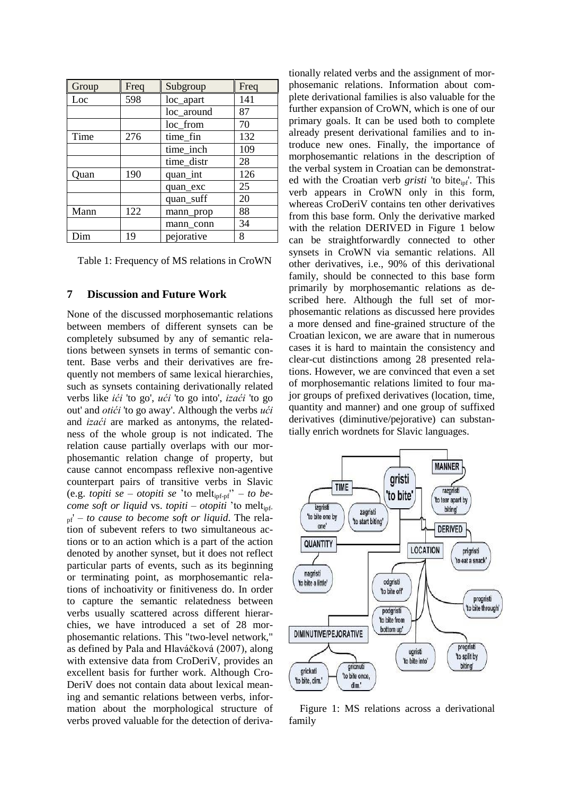| Group | Freq | Subgroup   | Freq |
|-------|------|------------|------|
| Loc   | 598  | loc_apart  | 141  |
|       |      | loc_around | 87   |
|       |      | loc_from   | 70   |
| Time  | 276  | time_fin   | 132  |
|       |      | time_inch  | 109  |
|       |      | time_distr | 28   |
| Ouan  | 190  | quan_int   | 126  |
|       |      | quan_exc   | 25   |
|       |      | quan_suff  | 20   |
| Mann  | 122  | mann_prop  | 88   |
|       |      | mann conn  | 34   |
| Dim   | 19   | pejorative | 8    |

Table 1: Frequency of MS relations in CroWN

#### **7 Discussion and Future Work**

None of the discussed morphosemantic relations between members of different synsets can be completely subsumed by any of semantic relations between synsets in terms of semantic content. Base verbs and their derivatives are frequently not members of same lexical hierarchies, such as synsets containing derivationally related verbs like *ići* 'to go', *ući* 'to go into', *izaći* 'to go out' and *otići* 'to go away'. Although the verbs *ući* and *izaći* are marked as antonyms, the relatedness of the whole group is not indicated. The relation cause partially overlaps with our morphosemantic relation change of property, but cause cannot encompass reflexive non-agentive counterpart pairs of transitive verbs in Slavic (e.g. *topiti se* – *otopiti se* 'to meltipf-pf'' – *to become soft or liquid* vs. *topiti* – *otopiti* 'to melt<sub>ipf-</sub> pf' – *to cause to become soft or liquid*. The relation of subevent refers to two simultaneous actions or to an action which is a part of the action denoted by another synset, but it does not reflect particular parts of events, such as its beginning or terminating point, as morphosemantic relations of inchoativity or finitiveness do. In order to capture the semantic relatedness between verbs usually scattered across different hierarchies, we have introduced a set of 28 morphosemantic relations. This "two-level network," as defined by Pala and Hlaváčková (2007), along with extensive data from CroDeriV, provides an excellent basis for further work. Although Cro-DeriV does not contain data about lexical meaning and semantic relations between verbs, information about the morphological structure of verbs proved valuable for the detection of derivationally related verbs and the assignment of morphosemanic relations. Information about complete derivational families is also valuable for the further expansion of CroWN, which is one of our primary goals. It can be used both to complete already present derivational families and to introduce new ones. Finally, the importance of morphosemantic relations in the description of the verbal system in Croatian can be demonstrated with the Croatian verb *gristi* 'to bite<sub>ipf</sub>'. This verb appears in CroWN only in this form, whereas CroDeriV contains ten other derivatives from this base form. Only the derivative marked with the relation DERIVED in Figure 1 below can be straightforwardly connected to other synsets in CroWN via semantic relations. All other derivatives, i.e., 90% of this derivational family, should be connected to this base form primarily by morphosemantic relations as described here. Although the full set of morphosemantic relations as discussed here provides a more densed and fine-grained structure of the Croatian lexicon, we are aware that in numerous cases it is hard to maintain the consistency and clear-cut distinctions among 28 presented relations. However, we are convinced that even a set of morphosemantic relations limited to four major groups of prefixed derivatives (location, time, quantity and manner) and one group of suffixed derivatives (diminutive/pejorative) can substantially enrich wordnets for Slavic languages.



Figure 1: MS relations across a derivational family